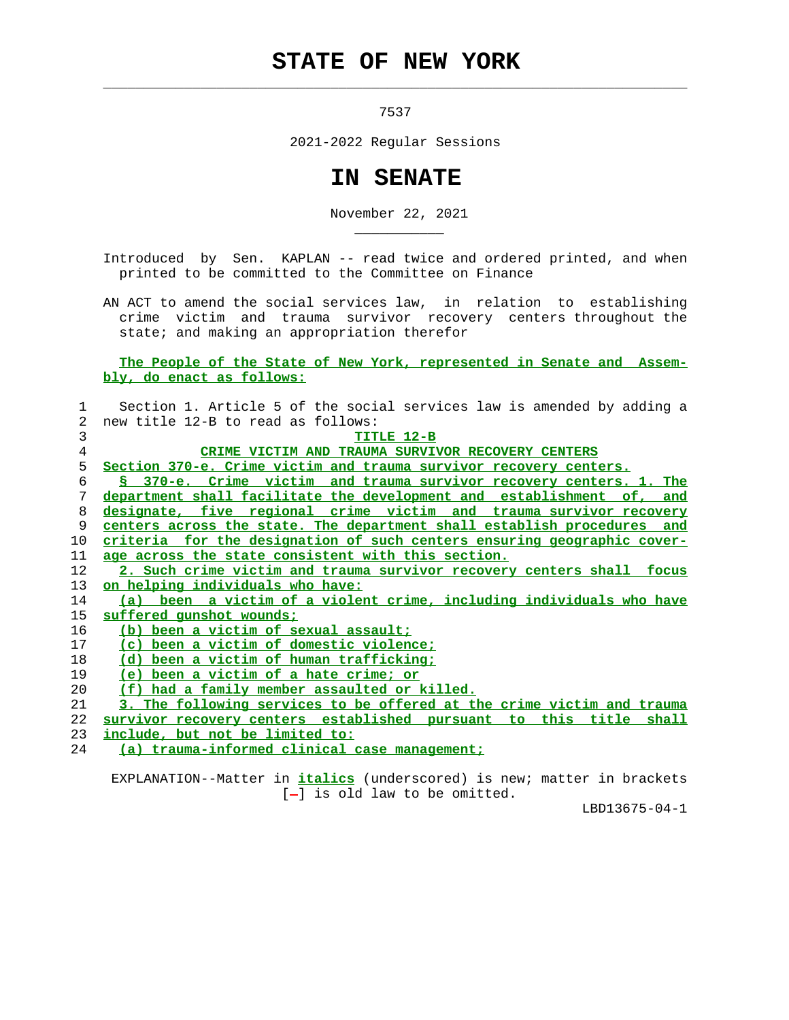## **STATE OF NEW YORK**

 $\mathcal{L}_\text{max} = \frac{1}{2} \sum_{i=1}^{n} \frac{1}{2} \sum_{i=1}^{n} \frac{1}{2} \sum_{i=1}^{n} \frac{1}{2} \sum_{i=1}^{n} \frac{1}{2} \sum_{i=1}^{n} \frac{1}{2} \sum_{i=1}^{n} \frac{1}{2} \sum_{i=1}^{n} \frac{1}{2} \sum_{i=1}^{n} \frac{1}{2} \sum_{i=1}^{n} \frac{1}{2} \sum_{i=1}^{n} \frac{1}{2} \sum_{i=1}^{n} \frac{1}{2} \sum_{i=1}^{n} \frac{1$ 

\_\_\_\_\_\_\_\_\_\_\_

7537

2021-2022 Regular Sessions

## **IN SENATE**

November 22, 2021

 Introduced by Sen. KAPLAN -- read twice and ordered printed, and when printed to be committed to the Committee on Finance

 AN ACT to amend the social services law, in relation to establishing crime victim and trauma survivor recovery centers throughout the state; and making an appropriation therefor

 **The People of the State of New York, represented in Senate and Assem bly, do enact as follows:**

| 1  | Section 1. Article 5 of the social services law is amended by adding a     |
|----|----------------------------------------------------------------------------|
| 2  | new title 12-B to read as follows:                                         |
| 3  | TITLE 12-B                                                                 |
| 4  | CRIME VICTIM AND TRAUMA SURVIVOR RECOVERY CENTERS                          |
| 5  | Section 370-e. Crime victim and trauma survivor recovery centers.          |
| 6  | S 370-e. Crime victim and trauma survivor recovery centers. 1. The         |
| 7  | department shall facilitate the development and establishment of,<br>and   |
| 8  | designate, five regional crime victim and trauma survivor recovery         |
| 9  | centers across the state. The department shall establish procedures<br>and |
| 10 | criteria for the designation of such centers ensuring geographic cover-    |
| 11 | age across the state consistent with this section.                         |
| 12 | 2. Such crime victim and trauma survivor recovery centers shall focus      |
| 13 | <u>on helping individuals who have:</u>                                    |
| 14 | (a) been a victim of a violent crime, including individuals who have       |
| 15 | suffered gunshot wounds;                                                   |
| 16 | (b) been a victim of sexual assault;                                       |
| 17 | (c) been a victim of domestic violence;                                    |
| 18 | (d) been a victim of human trafficking;                                    |
| 19 | (e) been a victim of a hate crime; or                                      |
| 20 | (f) had a family member assaulted or killed.                               |
| 21 | 3. The following services to be offered at the crime victim and trauma     |
| 22 | survivor recovery centers established pursuant to this title shall         |
| 23 | include, but not be limited to:                                            |
| 24 | (a) trauma-informed clinical case management;                              |

 EXPLANATION--Matter in **italics** (underscored) is new; matter in brackets [-] is old law to be omitted.

LBD13675-04-1